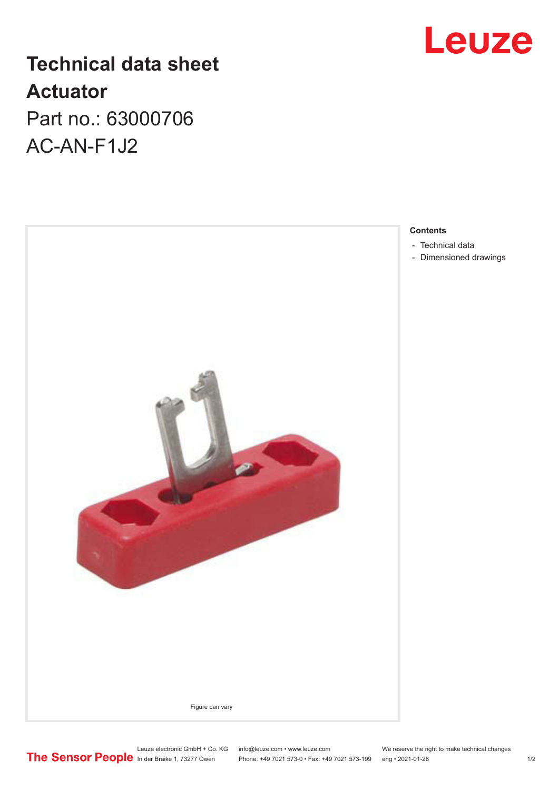## **Technical data sheet Actuator** Part no.: 63000706

AC-AN-F1J2





**Contents**

- [Technical data](#page-1-0)
- [Dimensioned drawings](#page-1-0)

Leuze electronic GmbH + Co. KG info@leuze.com • www.leuze.com We reserve the right to make technical changes In der Braike 1, 73277 Owen Phone: +49 7021 573-0 • Fax: +49 7021 573-199 eng • 2021-01-28 1/2